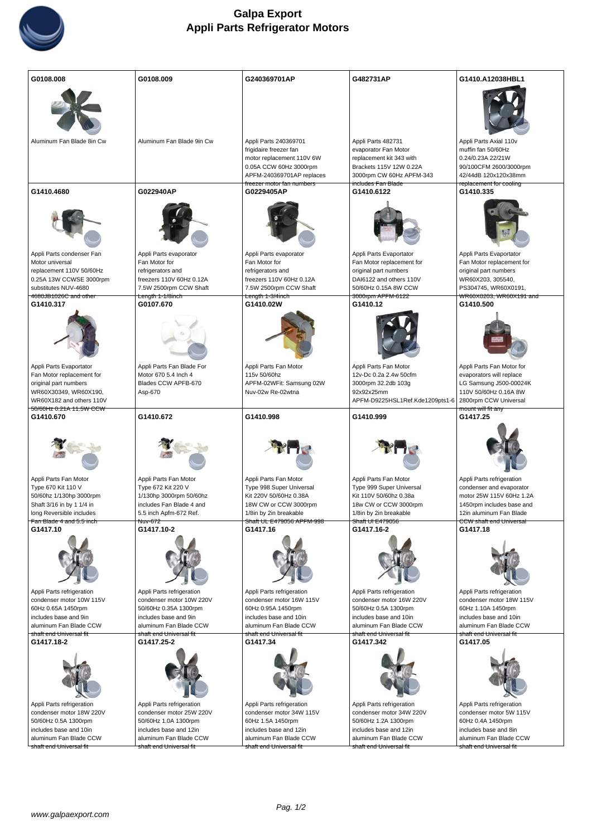

| G0108.008                                             | G0108.009                                          | G240369701AP                                        | G482731AP                                           | G1410.A12038HBL1                                      |
|-------------------------------------------------------|----------------------------------------------------|-----------------------------------------------------|-----------------------------------------------------|-------------------------------------------------------|
|                                                       |                                                    |                                                     |                                                     |                                                       |
|                                                       |                                                    |                                                     |                                                     |                                                       |
| Aluminum Fan Blade 8in Cw                             | Aluminum Fan Blade 9in Cw                          | Appli Parts 240369701                               | Appli Parts 482731                                  | Appli Parts Axial 110v                                |
|                                                       |                                                    | frigidaire freezer fan                              | evaporator Fan Motor                                | muffin fan 50/60Hz                                    |
|                                                       |                                                    | motor replacement 110V 6W<br>0.05A CCW 60Hz 3000rpm | replacement kit 343 with<br>Brackets 115V 12W 0.22A | 0.24/0.23A 22/21W<br>90/100CFM 2600/3000rpm           |
|                                                       |                                                    | APFM-240369701AP replaces                           | 3000rpm CW 60Hz APFM-343                            | 42/44dB 120x120x38mm                                  |
| G1410.4680                                            | G022940AP                                          | freezer motor fan numbers<br>G0229405AP             | <del>includes Fan Blade</del><br>G1410.6122         | replacement for cooling<br>G1410.335                  |
|                                                       |                                                    |                                                     |                                                     |                                                       |
|                                                       |                                                    |                                                     |                                                     |                                                       |
|                                                       |                                                    |                                                     |                                                     |                                                       |
| Appli Parts condenser Fan                             | Appli Parts evaporator                             | Appli Parts evaporator                              | Appli Parts Evaportator                             | Appli Parts Evaportator                               |
| Motor universal<br>replacement 110V 50/60Hz           | Fan Motor for<br>refrigerators and                 | Fan Motor for<br>refrigerators and                  | Fan Motor replacement for<br>original part numbers  | Fan Motor replacement for<br>original part numbers    |
| 0.25A 13W CCWSE 3000rpm                               | freezers 110V 60Hz 0.12A                           | freezers 110V 60Hz 0.12A                            | DAI6122 and others 110V                             | WR60X203, 305540,                                     |
| substitutes NUV-4680                                  | 7.5W 2500rpm CCW Shaft                             | 7.5W 2500rpm CCW Shaft                              | 50/60Hz 0.15A 8W CCW                                | PS304745, WR60X0191,                                  |
| 4680JB1026C and other<br>G1410.317                    | <del>Length 1-1/8inch</del><br>G0107.670           | <del>Length 1-3/4inch</del><br>G1410.02W            | 3000rpm APFM-6122<br>G1410.12                       | <del>WR60X0203, WR60X191 and</del><br>G1410.500       |
|                                                       |                                                    |                                                     |                                                     |                                                       |
|                                                       |                                                    |                                                     |                                                     |                                                       |
|                                                       |                                                    |                                                     |                                                     |                                                       |
|                                                       |                                                    |                                                     |                                                     |                                                       |
| Appli Parts Evaportator                               | Appli Parts Fan Blade For                          | Appli Parts Fan Motor                               | Appli Parts Fan Motor                               | Appli Parts Fan Motor for                             |
| Fan Motor replacement for<br>original part numbers    | Motor 670 5.4 Inch 4<br>Blades CCW APFB-670        | 115v 50/60hz<br>APFM-02W Fit: Samsung 02W           | 12v-Dc 0.2a 2.4w 50cfm<br>3000rpm 32.2db 103g       | evaporators will replace<br>LG Samsung J500-00024K    |
| WR60X30349, WR60X190,                                 | Asp-670                                            | Nuv-02w Re-02wtna                                   | 92x92x25mm                                          | 110V 50/60Hz 0.16A 8W                                 |
| WR60X182 and others 110V<br>50/60Hz 0.21A 11.5W CCW   |                                                    |                                                     | APFM-D9225HSL1 Ref.Kde1209pts1-6                    | 2800rpm CCW Universal                                 |
|                                                       |                                                    |                                                     |                                                     | mount will fit any                                    |
| G1410.670                                             | G1410.672                                          | G1410.998                                           | G1410.999                                           | G1417.25                                              |
|                                                       |                                                    |                                                     |                                                     |                                                       |
|                                                       |                                                    |                                                     |                                                     |                                                       |
|                                                       |                                                    |                                                     |                                                     |                                                       |
|                                                       |                                                    |                                                     |                                                     |                                                       |
|                                                       |                                                    |                                                     |                                                     |                                                       |
| Appli Parts Fan Motor<br>Type 670 Kit 110 V           | Appli Parts Fan Motor<br>Type 672 Kit 220 V        | Appli Parts Fan Motor<br>Type 998 Super Universal   | Appli Parts Fan Motor<br>Type 999 Super Universal   | Appli Parts refrigeration<br>condenser and evaporator |
| 50/60hz 1/130hp 3000rpm                               | 1/130hp 3000rpm 50/60hz                            | Kit 220V 50/60Hz 0.38A                              | Kit 110V 50/60hz 0.38a                              | motor 25W 115V 60Hz 1.2A                              |
| Shaft 3/16 in by 1 1/4 in<br>long Reversible includes | includes Fan Blade 4 and<br>5.5 inch Apfm-672 Ref. | 18W CW or CCW 3000rpm<br>1/8in by 2in breakable     | 18w CW or CCW 3000rpm<br>1/8in by 2in breakable     | 1450rpm includes base and<br>12in aluminum Fan Blade  |
| Fan Blade 4 and 5.5 inch                              | Nuv-672                                            | Shaft UL E479056 APFM-998                           | Shaft UI E479056                                    | CCW shaft end Universal                               |
| G1417.10                                              | G1417.10-2                                         | G1417.16                                            | G1417.16-2                                          | G1417.18                                              |
|                                                       |                                                    |                                                     |                                                     |                                                       |
|                                                       |                                                    |                                                     |                                                     |                                                       |
|                                                       |                                                    |                                                     |                                                     |                                                       |
|                                                       |                                                    |                                                     |                                                     |                                                       |
| Appli Parts refrigeration                             | Appli Parts refrigeration                          | Appli Parts refrigeration                           | Appli Parts refrigeration                           | Appli Parts refrigeration                             |
| condenser motor 10W 115V                              | condenser motor 10W 220V                           | condenser motor 16W 115V                            | condenser motor 16W 220V                            | condenser motor 18W 115V                              |
| 60Hz 0.65A 1450rpm<br>includes base and 9in           | 50/60Hz 0.35A 1300rpm<br>includes base and 9in     | 60Hz 0.95A 1450rpm<br>includes base and 10in        | 50/60Hz 0.5A 1300rpm<br>includes base and 10in      | 60Hz 1.10A 1450rpm<br>includes base and 10in          |
| aluminum Fan Blade CCW                                | aluminum Fan Blade CCW                             | aluminum Fan Blade CCW                              | aluminum Fan Blade CCW                              | aluminum Fan Blade CCW                                |
| shaft end Universal fit<br>G1417.18-2                 | shaft end Universal fit<br>G1417.25-2              | shaft end Universal fit<br>G1417.34                 | <del>shaft end Universal fit</del><br>G1417.342     | shaft end Universal fit<br>G1417.05                   |
|                                                       |                                                    |                                                     |                                                     |                                                       |
|                                                       |                                                    |                                                     |                                                     |                                                       |
|                                                       |                                                    |                                                     |                                                     |                                                       |
|                                                       |                                                    |                                                     |                                                     |                                                       |
| Appli Parts refrigeration                             | Appli Parts refrigeration                          | Appli Parts refrigeration                           | Appli Parts refrigeration                           | Appli Parts refrigeration                             |
| condenser motor 18W 220V                              | condenser motor 25W 220V                           | condenser motor 34W 115V                            | condenser motor 34W 220V                            | condenser motor 5W 115V                               |
| 50/60Hz 0.5A 1300rpm<br>includes base and 10in        | 50/60Hz 1.0A 1300rpm<br>includes base and 12in     | 60Hz 1.5A 1450rpm<br>includes base and 12in         | 50/60Hz 1.2A 1300rpm<br>includes base and 12in      | 60Hz 0.4A 1450rpm<br>includes base and 8in            |
| aluminum Fan Blade CCW<br>shaft end Universal fit     | aluminum Fan Blade CCW<br>shaft end Universal fit  | aluminum Fan Blade CCW<br>shaft end Universal fit   | aluminum Fan Blade CCW<br>shaft end Universal fit   | aluminum Fan Blade CCW<br>shaft end Universal fit     |